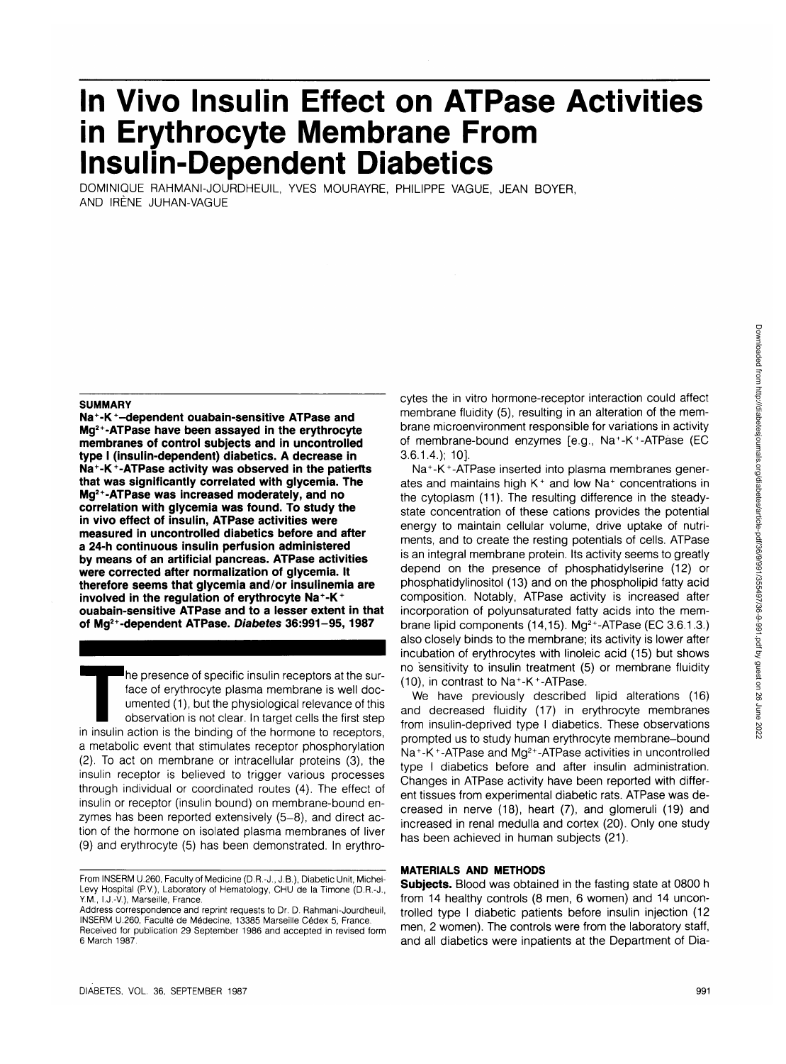# **jn Vivo Insulin Effect on ATPase Activities in Erythrocyte Membrane From Insulin-Dependent Diabetics**

DOMINIQUE RAHMANI-JOURDHEUIL, YVES MOURAYRE, PHILIPPE VAGUE, JEAN BOYER, AND IRENE JUHAN-VAGUE

#### **SUMMARY**

**Na<sup>+</sup> -K<sup>+</sup> -dependent ouabain-sensitive ATPase and Mg2+-ATPase have been assayed in the erythrocyte membranes of control subjects and in uncontrolled type I (insulin-dependent) diabetics. A decrease in Na<sup>+</sup> -K<sup>+</sup> -ATPase activity was observed in the patients that was significantly correlated with glycemia. The Mg2+-ATPase was increased moderately, and no correlation with glycemia was found. To study the in vivo effect of insulin, ATPase activities were measured in uncontrolled diabetics before and after a 24-h continuous insulin perfusion administered by means of an artificial pancreas. ATPase activities were corrected after normalization of glycemia. It therefore seems that glycemia and/or insulinemia are involved in the regulation of erythrocyte Na<sup>+</sup> -K + ouabain-sensitive ATPase and to a lesser extent in that of Mg2+-dependent ATPase. Diabetes 36:991-95,1987**

The presence of specific insulin receptors at the surface of erythrocyte plasma membrane is well documented (1), but the physiological relevance of this observation is not clear. In target cells the first step in insulin a face of erythrocyte plasma membrane is well documented (1), but the physiological relevance of this observation is not clear. In target cells the first step a metabolic event that stimulates receptor phosphorylation (2). To act on membrane or intracellular proteins (3), the insulin receptor is believed to trigger various processes through individual or coordinated routes (4). The effect of insulin or receptor (insulin bound) on membrane-bound enzymes has been reported extensively (5-8), and direct action of the hormone on isolated plasma membranes of liver (9) and erythrocyte (5) has been demonstrated. In erythrocytes the in vitro hormone-receptor interaction could affect membrane fluidity (5), resulting in an alteration of the membrane microenvironment responsible for variations in activity of membrane-bound enzymes [e.g., Na<sup>+</sup>-K<sup>+</sup>-ATPase (EC 3.6.1.4.); 10].

Na<sup>+</sup> -K<sup>+</sup> -ATPase inserted into plasma membranes generates and maintains high K<sup>+</sup> and low Na<sup>+</sup> concentrations in the cytoplasm (11). The resulting difference in the steadystate concentration of these cations provides the potential energy to maintain cellular volume, drive uptake of nutriments, and to create the resting potentials of cells. ATPase is an integral membrane protein. Its activity seems to greatly depend on the presence of phosphatidylserine (12) or phosphatidylinositol (13) and on the phospholipid fatty acid composition. Notably, ATPase activity is increased after incorporation of polyunsaturated fatty acids into the membrane lipid components (14,15). Mg<sup>2+</sup>-ATPase (EC 3.6.1.3.) also closely binds to the membrane; its activity is lower after incubation of erythrocytes with linoleic acid (15) but shows no sensitivity to insulin treatment (5) or membrane fluidity (10), in contrast to Na<sup>+</sup> -K<sup>+</sup> -ATPase.

We have previously described lipid alterations (16) and decreased fluidity (17) in erythrocyte membranes from insulin-deprived type I diabetics. These observations prompted us to study human erythrocyte membrane-bound Na<sup>+</sup>-K<sup>+</sup>-ATPase and Mg<sup>2+</sup>-ATPase activities in uncontrolled type I diabetics before and after insulin administration. Changes in ATPase activity have been reported with different tissues from experimental diabetic rats. ATPase was decreased in nerve (18), heart (7), and glomeruli (19) and increased in renal medulla and cortex (20). Only one study has been achieved in human subjects (21).

## **MATERIALS AND METHODS**

**Subjects.** Blood was obtained in the fasting state at 0800 h from 14 healthy controls (8 men, 6 women) and 14 uncontrolled type I diabetic patients before insulin injection (12 men, 2 women). The controls were from the laboratory staff, and all diabetics were inpatients at the Department of Dia-

From INSERM U.260, Faculty of Medicine (D.R.-J., J.B.), Diabetic Unit, Michel-Levy Hospital (P.V.), Laboratory of Hematology, CHU de la Timone (D.R.-J., Y.M., I.J.-V.), Marseille, France.

Address correspondence and reprint requests to Dr. D. Rahmani-Jourdheuil, INSERM U.260, Faculte de Medecine, 13385 Marseille Cedex 5, France. Received for publication 29 September 1986 and accepted in revised form 6 March 1987.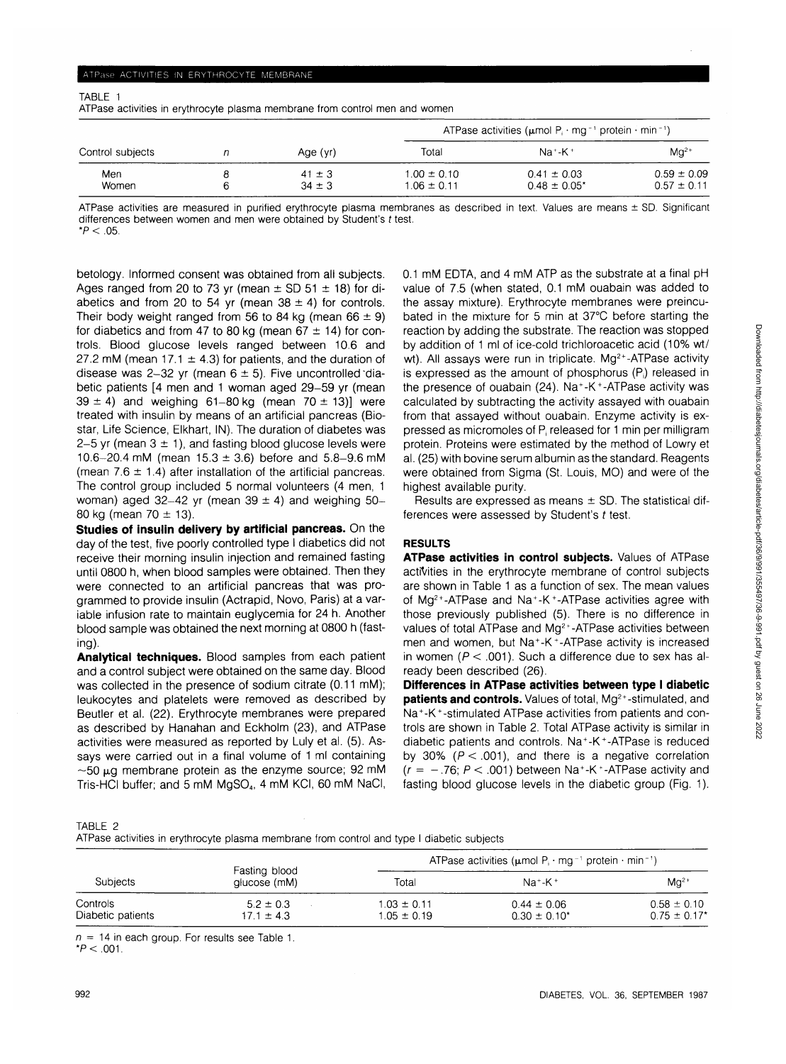2022

## ATPase ACTIVITIES IN ERYTHROCYTE MEMBRANE

| I |  |
|---|--|

ATPase activities in erythrocyte plasma membrane from control men and women

| Control subjects |  | Age (yr)                 | ATPase activities ( $\mu$ mol P <sub>i</sub> · mg <sup>-1</sup> protein · min <sup>-1</sup> ) |                                      |                                    |
|------------------|--|--------------------------|-----------------------------------------------------------------------------------------------|--------------------------------------|------------------------------------|
|                  |  |                          | Total                                                                                         | $Na+K+$                              | $Ma2+$                             |
| Men<br>Women     |  | $41 \pm 3$<br>$34 \pm 3$ | $1.00 \pm 0.10$<br>$1.06 \pm 0.11$                                                            | $0.41 \pm 0.03$<br>$0.48 \pm 0.05^*$ | $0.59 \pm 0.09$<br>$0.57 \pm 0.11$ |

ATPase activities are measured in purified erythrocyte plasma membranes as described in text. Values are means ± SD. Significant differences between women and men were obtained by Student's t test.

 $*P < 0.05$ .

betology. Informed consent was obtained from all subjects. Ages ranged from 20 to 73 yr (mean  $\pm$  SD 51  $\pm$  18) for diabetics and from 20 to 54 yr (mean  $38 \pm 4$ ) for controls. Their body weight ranged from 56 to 84 kg (mean  $66 \pm 9$ ) for diabetics and from 47 to 80 kg (mean  $67 \pm 14$ ) for controls. Blood glucose levels ranged between 10.6 and 27.2 mM (mean 17.1  $\pm$  4.3) for patients, and the duration of disease was 2-32 yr (mean  $6 \pm 5$ ). Five uncontrolled diabetic patients [4 men and 1 woman aged 29-59 yr (mean  $39 \pm 4$ ) and weighing 61-80 kg (mean 70  $\pm$  13)] were treated with insulin by means of an artificial pancreas (Biostar, Life Science, Elkhart, IN). The duration of diabetes was 2-5 yr (mean  $3 \pm 1$ ), and fasting blood glucose levels were 10.6-20.4 mM (mean  $15.3 \pm 3.6$ ) before and  $5.8-9.6$  mM (mean  $7.6 \pm 1.4$ ) after installation of the artificial pancreas. The control group included 5 normal volunteers (4 men, 1 woman) aged 32-42 yr (mean 39  $\pm$  4) and weighing 50-80 kg (mean  $70 \pm 13$ ).

**Studies of insulin delivery by artificial pancreas.** On the day of the test, five poorly controlled type I diabetics did not receive their morning insulin injection and remained fasting until 0800 h, when blood samples were obtained. Then they were connected to an artificial pancreas that was programmed to provide insulin (Actrapid, Novo, Paris) at a variable infusion rate to maintain euglycemia for 24 h. Another blood sample was obtained the next morning at 0800 h (fasting).

**Analytical techniques.** Blood samples from each patient and a control subject were obtained on the same day. Blood was collected in the presence of sodium citrate (0.11 mM); leukocytes and platelets were removed as described by Beutler et al. (22). Erythrocyte membranes were prepared as described by Hanahan and Eckholm (23), and ATPase activities were measured as reported by Luly et al. (5). Assays were carried out in a final volume of 1 ml containing  $\sim$ 50  $\mu$ g membrane protein as the enzyme source; 92 mM Tris-HCI buffer; and 5 mM MgSO<sub>4</sub>, 4 mM KCI, 60 mM NaCI, 0.1 mM EDTA, and 4 mM ATP as the substrate at a final pH value of 7.5 (when stated, 0.1 mM ouabain was added to the assay mixture). Erythrocyte membranes were preincubated in the mixture for 5 min at 37°C before starting the reaction by adding the substrate. The reaction was stopped by addition of 1 ml of ice-cold trichloroacetic acid (10% wt/ wt). All assays were run in triplicate.  $Mg^{2+}$ -ATPase activity is expressed as the amount of phosphorus  $(P_i)$  released in the presence of ouabain (24). Na<sup>+</sup> -K<sup>+</sup> -ATPase activity was calculated by subtracting the activity assayed with ouabain from that assayed without ouabain. Enzyme activity is expressed as micromoles of P; released for 1 min per milligram protein. Proteins were estimated by the method of Lowry et al. (25) with bovine serum albumin as the standard. Reagents were obtained from Sigma (St. Louis, MO) and were of the highest available purity.

Results are expressed as means  $\pm$  SD. The statistical differences were assessed by Student's t test.

## **RESULTS**

**ATPase activities in control subjects.** Values of ATPase activities in the erythrocyte membrane of control subjects are shown in Table 1 as a function of sex. The mean values of Mg<sup>2+</sup>-ATPase and Na<sup>+</sup>-K<sup>+</sup>-ATPase activities agree with those previously published (5). There is no difference in values of total ATPase and Mg<sup>2+</sup>-ATPase activities between men and women, but Na<sup>+</sup>-K<sup>+</sup>-ATPase activity is increased in women ( $P < .001$ ). Such a difference due to sex has already been described (26).

**Differences in ATPase activities between type I diabetic patients and controls.** Values of total, Mg<sup>2+</sup>-stimulated, and Na<sup>+</sup> -K<sup>+</sup> -stimulated ATPase activities from patients and controls are shown in Table 2. Total ATPase activity is similar in diabetic patients and controls. Na<sup>+</sup> -K<sup>+</sup> -ATPase is reduced by 30% ( $P < .001$ ), and there is a negative correlation  $(r = -.76; P < .001)$  between Na<sup>+</sup>-K<sup>+</sup>-ATPase activity and fasting blood glucose levels in the diabetic group (Fig. 1).

TABLE 2

ATPase activities in erythrocyte plasma membrane from control and type I diabetic subjects

| <b>Subjects</b>               |                                 | ATPase activities ( $\mu$ mol P · mg <sup>-1</sup> protein · min <sup>-1</sup> ) |                                      |                                                 |
|-------------------------------|---------------------------------|----------------------------------------------------------------------------------|--------------------------------------|-------------------------------------------------|
|                               | Fasting blood<br>glucose (mM)   | Total                                                                            | $Na^+ - K^+$                         | $Mq^{2+}$                                       |
| Controls<br>Diabetic patients | $5.2 \pm 0.3$<br>$17.1 \pm 4.3$ | $1.03 \pm 0.11$<br>$1.05 \pm 0.19$                                               | $0.44 \pm 0.06$<br>$0.30 \pm 0.10^*$ | $0.58 \pm 0.10$<br>$0.75 \pm 0.17$ <sup>*</sup> |

 $n = 14$  in each group. For results see Table 1.

 $*P < 0.001$ .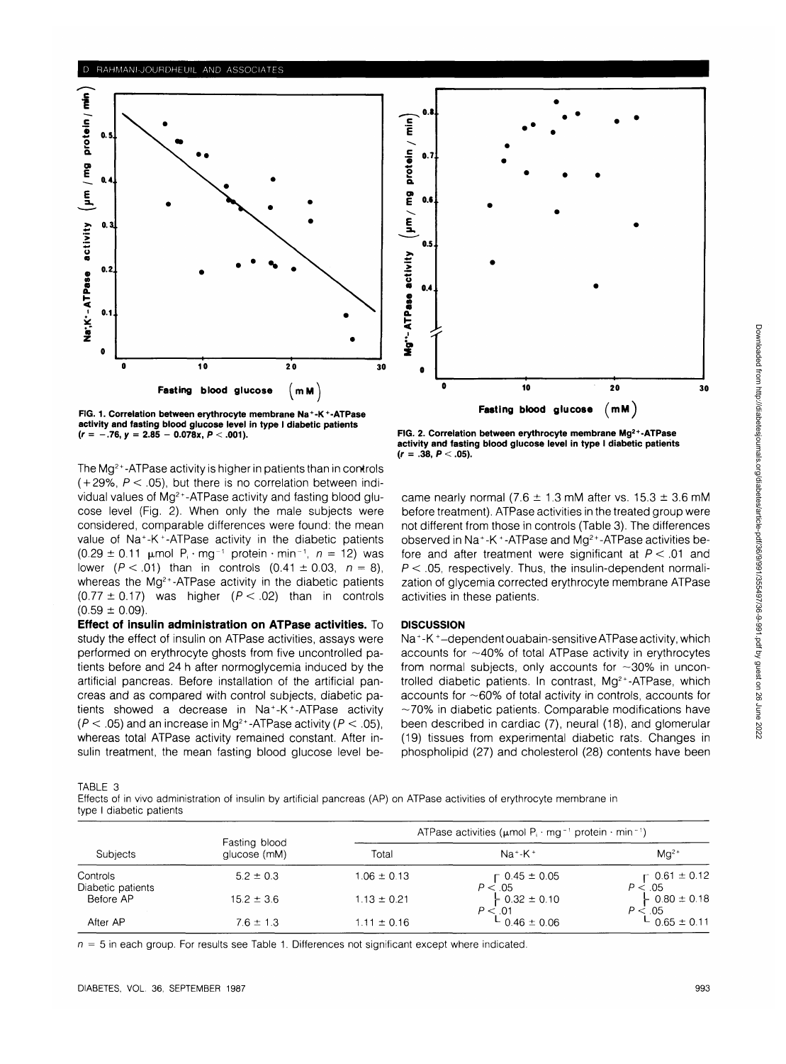

**FIG. 1. Correlation between erythrocyte membrane Na<sup>+</sup> -K<sup>+</sup> -ATPase activity and fasting blood glucose level in type I diabetic patients**  $(r = -.76, y = 2.85 - 0.078x, P < .001)$ .

The Mg<sup>2+</sup>-ATPase activity is higher in patients than in controls  $(+29\% \, P \leq .05)$ , but there is no correlation between individual values of Mg<sup>2+</sup>-ATPase activity and fasting blood glucose level (Fig. 2). When only the male subjects were considered, comparable differences were found: the mean value of Na<sup>+</sup>-K<sup>+</sup>-ATPase activity in the diabetic patients  $(0.29 \pm 0.11 \text{ }\mu\text{mol} \text{ P}_i \cdot \text{mg}^{-1} \text{ protein} \cdot \text{min}^{-1}, n = 12) \text{ was}$ lower ( $P < .01$ ) than in controls (0.41  $\pm$  0.03,  $n = 8$ ), whereas the Mg<sup>2+</sup>-ATPase activity in the diabetic patients  $(0.77 \pm 0.17)$  was higher  $(P < .02)$  than in controls  $(0.59 \pm 0.09)$ .

**Effect of insulin administration on ATPase activities.** To study the effect of insulin on ATPase activities, assays were performed on erythrocyte ghosts from five uncontrolled patients before and 24 h after normoglycemia induced by the artificial pancreas. Before installation of the artificial pancreas and as compared with control subjects, diabetic patients showed a decrease in Na<sup>+</sup> -K<sup>+</sup> -ATPase activity  $(P < .05)$  and an increase in Mg<sup>2+</sup>-ATPase activity  $(P < .05)$ , whereas total ATPase activity remained constant. After insulin treatment, the mean fasting blood glucose level be-



**FIG. 2. Correlation between erythrocyte membrane Mg2+-ATPase activity and fasting blood glucose level in type I diabetic patients**  $(r = .38, P < .05)$ .

came nearly normal (7.6  $\pm$  1.3 mM after vs. 15.3  $\pm$  3.6 mM before treatment). ATPase activities in the treated group were not different from those in controls (Table 3). The differences observed in Na<sup>+</sup>-K<sup>+</sup>-ATPase and Mg<sup>2+</sup>-ATPase activities before and after treatment were significant at  $P < .01$  and  $P < .05$ , respectively. Thus, the insulin-dependent normalization of glycemia corrected erythrocyte membrane ATPase activities in these patients.

## **DISCUSSION**

Na<sup>+</sup>-K<sup>+</sup>-dependent ouabain-sensitive ATPase activity, which accounts for  $\sim$ 40% of total ATPase activity in erythrocytes from normal subjects, only accounts for  $\sim$ 30% in uncontrolled diabetic patients. In contrast, Mg<sup>2+</sup>-ATPase, which accounts for  $\sim$  60% of total activity in controls, accounts for  $\sim$ 70% in diabetic patients. Comparable modifications have been described in cardiac (7), neural (18), and glomerular (19) tissues from experimental diabetic rats. Changes in phospholipid (27) and cholesterol (28) contents have been

TABLE 3

Effects of in vivo administration of insulin by artificial pancreas (AP) on ATPase activities of erythrocyte membrane in type I diabetic patients

| Subjects                      |                               | ATPase activities ( $\mu$ mol P <sub>i</sub> · mg <sup>-1</sup> protein · min <sup>-1</sup> ) |                                      |                                           |  |
|-------------------------------|-------------------------------|-----------------------------------------------------------------------------------------------|--------------------------------------|-------------------------------------------|--|
|                               | Fasting blood<br>glucose (mM) | Total                                                                                         | $Na+K+$                              | $Ma2+$                                    |  |
| Controls<br>Diabetic patients | $5.2 \pm 0.3$                 | $1.06 \pm 0.13$                                                                               | $\Gamma$ 0.45 $\pm$ 0.05<br>P < 0.05 | $\Gamma$ 0.61 $\pm$ 0.12<br>P < 0.05      |  |
| Before AP                     | $15.2 \pm 3.6$                | $1.13 \pm 0.21$                                                                               | $-0.32 \pm 0.10$<br>P < 01           | $\frac{1}{2}$ 0.80 $\pm$ 0.18<br>P < 0.05 |  |
| After AP                      | $7.6 \pm 1.3$                 | $1.11 \pm 0.16$                                                                               | $L_{0.46 \pm 0.06}$                  | $L$ 0.65 $\pm$ 0.11                       |  |

 $n = 5$  in each group. For results see Table 1. Differences not significant except where indicated.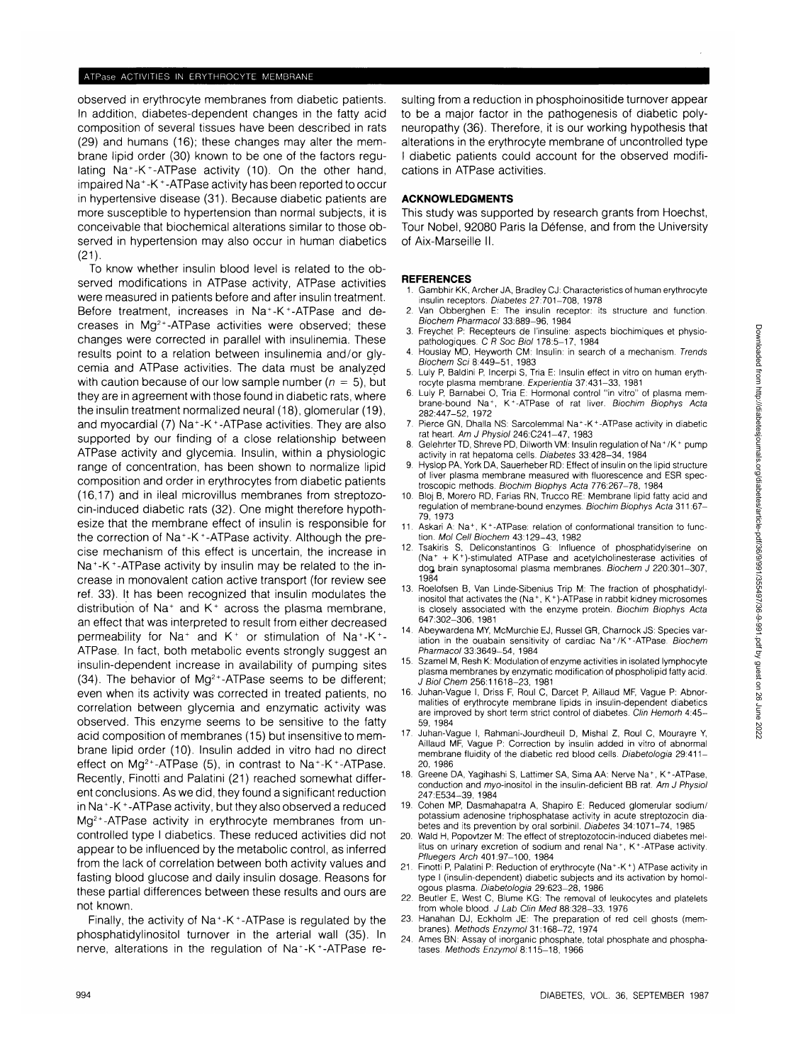## ATPase ACTIVITIES IN ERYTHROCYTE MEMBRANE

observed in erythrocyte membranes from diabetic patients. In addition, diabetes-dependent changes in the fatty acid composition of several tissues have been described in rats (29) and humans (16); these changes may alter the membrane lipid order (30) known to be one of the factors regulating Na<sup>+</sup>-K<sup>+</sup>-ATPase activity (10). On the other hand, impaired Na<sup>+</sup> -K +-ATPase activity has been reported to occur in hypertensive disease (31). Because diabetic patients are more susceptible to hypertension than normal subjects, it is conceivable that biochemical alterations similar to those observed in hypertension may also occur in human diabetics (21).

To know whether insulin blood level is related to the observed modifications in ATPase activity, ATPase activities were measured in patients before and after insulin treatment. Before treatment, increases in Na<sup>+</sup>-K<sup>+</sup>-ATPase and decreases in  $Mg<sup>2+</sup>$ -ATPase activities were observed; these changes were corrected in parallel with insulinemia. These results point to a relation between insulinemia and/or glycemia and ATPase activities. The data must be analyzed with caution because of our low sample number ( $n = 5$ ), but they are in agreement with those found in diabetic rats, where the insulin treatment normalized neural (18), glomerular (19), and myocardial (7) Na<sup>+</sup>-K<sup>+</sup>-ATPase activities. They are also supported by our finding of a close relationship between ATPase activity and glycemia. Insulin, within a physiologic range of concentration, has been shown to normalize lipid composition and order in erythrocytes from diabetic patients (16,17) and in ileal microvillus membranes from streptozocin-induced diabetic rats (32). One might therefore hypothesize that the membrane effect of insulin is responsible for the correction of Na<sup>+</sup> -K<sup>+</sup> -ATPase activity. Although the precise mechanism of this effect is uncertain, the increase in Na<sup>+</sup>-K<sup>+</sup>-ATPase activity by insulin may be related to the increase in monovalent cation active transport (for review see ref. 33). It has been recognized that insulin modulates the distribution of Na<sup>+</sup> and K<sup>+</sup> across the plasma membrane, an effect that was interpreted to result from either decreased permeability for Na<sup>+</sup> and K<sup>+</sup> or stimulation of Na<sup>+</sup>-K<sup>+</sup>-ATPase. In fact, both metabolic events strongly suggest an insulin-dependent increase in availability of pumping sites (34). The behavior of  $Mg^{2+}$ -ATPase seems to be different; even when its activity was corrected in treated patients, no correlation between glycemia and enzymatic activity was observed. This enzyme seems to be sensitive to the fatty acid composition of membranes (15) but insensitive to membrane lipid order (10). Insulin added in vitro had no direct effect on Mg<sup>2+</sup>-ATPase (5), in contrast to Na<sup>+</sup>-K<sup>+</sup>-ATPase. Recently, Finotti and Palatini (21) reached somewhat different conclusions. As we did, they found a significant reduction in Na<sup>+</sup> -K<sup>+</sup> -ATPase activity, but they also observed a reduced Mg<sup>2+</sup>-ATPase activity in erythrocyte membranes from uncontrolled type I diabetics. These reduced activities did not appear to be influenced by the metabolic control, as inferred from the lack of correlation between both activity values and fasting blood glucose and daily insulin dosage. Reasons for these partial differences between these results and ours are not known.

Finally, the activity of Na<sup>+</sup>-K<sup>+</sup>-ATPase is regulated by the phosphatidylinositol turnover in the arterial wall (35). In nerve, alterations in the regulation of Na<sup>+</sup>-K<sup>+</sup>-ATPase resulting from a reduction in phosphoinositide turnover appear to be a major factor in the pathogenesis of diabetic polyneuropathy (36). Therefore, it is our working hypothesis that alterations in the erythrocyte membrane of uncontrolled type I diabetic patients could account for the observed modifications in ATPase activities.

# **ACKNOWLEDGMENTS**

This study was supported by research grants from Hoechst, Tour Nobel, 92080 Paris la Defense, and from the University of Aix-Marseille II.

#### **REFERENCES**

- Gambhir KK, Archer JA, Bradley CJ: Characteristics of human erythrocyte insulin receptors. Diabetes 27:701-708, 1978
- 2. Van Obberghen E: The insulin receptor: its structure and function. Biochem Pharmacol 33:889-96, 1984
- 3. Freychet P: Recepteurs de I'insuline: aspects biochimiques et physiopathologiques. C R Soc Biol 178:5-17, 1984 4. Houslay MD, Heyworth CM: Insulin: in search of a mechanism. Trends
- Biochem Sci 8:449-51, 1983 5. Luly P, Baldini P, Incerpi S, Tria E: Insulin effect in vitro on human eryth-
- rocyte plasma membrane. Experientia 37:431-33, 1981
- 6. Luly P, Barnabei O, Tria E: Hormonal control "in vitro" of plasma membrane-bound Na<sup>+</sup> , K<sup>+</sup> -ATPase of rat liver. Biochim Biophys Acta 282:447-52, 1972
- 7. Pierce GN, Dhalla NS: Sarcolemmal Na<sup>+</sup>-K<sup>+</sup>-ATPase activity in diabetic rat heart. Am J Physiol 246:C241-47, 1983 8. GelehrterTD, ShrevePD, Dilworth VM: Insulin regulation of Na<sup>+</sup> /K<sup>+</sup> pump
- activity in rat hepatoma cells. Diabetes 33:428-34, 1984
- Hyslop PA, York DA, Sauerheber RD: Effect of insulin on the lipid structure of liver plasma membrane measured with fluorescence and ESR spectroscopic methods. Biochim Biophys Acta 776:267-78, 1984
- 10. Bloj B, Morero RD, Farias RN, Trucco RE: Membrane lipid fatty acid and regulation of membrane-bound enzymes. Biochim Biophys Acta 311:67- 79,1973
- 11. Askari A: Na<sup>+</sup>, K<sup>+</sup>-ATPase: relation of conformational transition to function. Mol Cell Biochem 43:129-43, 1982
- 12. Tsakiris S, Deliconstantinos G: Influence of phosphatidylserine on (Na<sup>+</sup> + K<sup>+</sup> )-stimulated ATPase and acetylcholinesterase activities of dog brain synaptosomal plasma membranes. Biochem J 220:301-307, 1984
- 13. Roelofsen B, Van Linde-Sibenius Trip M: The fraction of phosphatidylinositol that activates the (Na<sup>+</sup> , K<sup>+</sup> )-ATPase in rabbit kidney microsomes is closely associated with the enzyme protein. Biochim Biophys Acta 647:302-306, 1981
- 14. Abeywardena MY, McMurchie EJ, Russel GR, Charnock JS: Species variation in the ouabain sensitivity of cardiac Na<sup>+</sup>/K<sup>+</sup>-ATPase. Biochem Pharmacol 33:3649-54, 1984
- 15. Szamel M, Resh K: Modulation of enzyme activities in isolated lymphocyte plasma membranes by enzymatic modification of phospholipid fatty acid. J Biol Chem 256:11618-23, 1981
- 16. Juhan-Vague I, Driss F, Roul C, Darcet P, Aillaud MF, Vague P: Abnormalities of erythrocyte membrane lipids in insulin-dependent diabetics are improved by short term strict control of diabetes. Clin Hemorh 4:45- 59, 1984
- 17. Juhan-Vague I, Rahmani-Jourdheuil D, Mishal Z, Roul C, Mourayre Y, Aillaud MF, Vague P: Correction by insulin added in vitro of abnormal membrane fluidity of the diabetic red blood cells. Diabetologia 29:411- 20, 1986
- 18. Greene DA, Yagihashi S, Lattimer SA, Sima AA: Nerve Na<sup>+</sup>, K<sup>+</sup>-ATPase, conduction and myo-inositol in the insulin-deficient BB rat. Am J Physiol 247:E534-39, 1984
- 19. Cohen MP, Dasmahapatra A, Shapiro E: Reduced glomerular sodium/ potassium adenosine triphosphatase activity in acute streptozocin diabetes and its prevention by oral sorbinil. Diabetes 34:1071-74, 1985
- 20. Wald H, Popovtzer M: The effect of streptozotocin-induced diabetes mellitus on urinary excretion of sodium and renal Na<sup>+</sup>, K<sup>+</sup>-ATPase activity. Pfluegers Arch 401:97-100, 1984
- 21. Finotti P, Palatini P: Reduction of erythrocyte (Na+-K+) ATPase activity in type I (insulin-dependent) diabetic subjects and its activation by homologous plasma. Diabetologia 29:623-28, 1986
- 22. Beutler E, West C, Blume KG: The removal of leukocytes and platelets from whole blood. J Lab Clin Med 88:328-33, 1976
- 23. Hanahan DJ, Eckholm JE: The preparation of red cell ghosts (membranes). Methods Enzymol 31:168-72, 1974
- 24. Ames BN: Assay of inorganic phosphate, total phosphate and phosphatases. Methods Enzymol 8:115-18, 1966